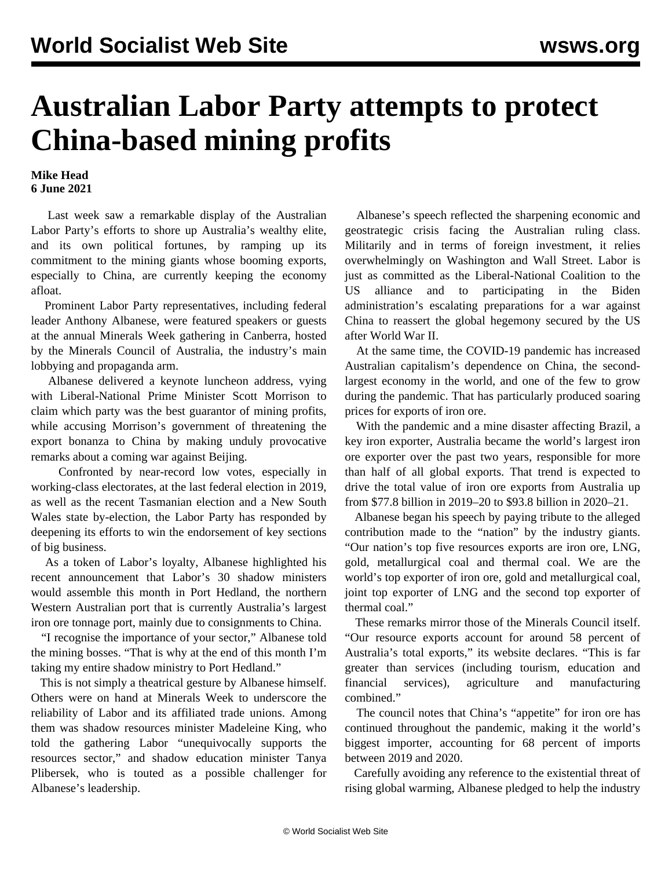## **Australian Labor Party attempts to protect China-based mining profits**

## **Mike Head 6 June 2021**

 Last week saw a remarkable display of the Australian Labor Party's efforts to shore up Australia's wealthy elite, and its own political fortunes, by ramping up its commitment to the mining giants whose booming exports, especially to China, are currently keeping the economy afloat.

 Prominent Labor Party representatives, including federal leader Anthony Albanese, were featured speakers or guests at the annual Minerals Week gathering in Canberra, hosted by the Minerals Council of Australia, the industry's main lobbying and propaganda arm.

 Albanese delivered a keynote luncheon address, vying with Liberal-National Prime Minister Scott Morrison to claim which party was the best guarantor of mining profits, while accusing Morrison's government of threatening the export bonanza to China by making unduly provocative remarks about a coming war against Beijing.

 Confronted by [near-record low votes,](/en/articles/2021/06/02/labo-j02.html) especially in working-class electorates, at the last federal election in 2019, as well as the recent Tasmanian election and a New South Wales state by-election, the Labor Party has responded by deepening its efforts to win the endorsement of key sections of big business.

 As a token of Labor's loyalty, Albanese highlighted his recent announcement that Labor's 30 shadow ministers would assemble this month in Port Hedland, the northern Western Australian port that is currently Australia's largest iron ore tonnage port, mainly due to consignments to China.

 "I recognise the importance of your sector," Albanese told the mining bosses. "That is why at the end of this month I'm taking my entire shadow ministry to Port Hedland."

 This is not simply a theatrical gesture by Albanese himself. Others were on hand at Minerals Week to underscore the reliability of Labor and its affiliated trade unions. Among them was shadow resources minister Madeleine King, who told the gathering Labor "unequivocally supports the resources sector," and shadow education minister Tanya Plibersek, who is touted as a possible challenger for Albanese's leadership.

 Albanese's speech reflected the sharpening economic and geostrategic crisis facing the Australian ruling class. Militarily and in terms of foreign investment, it relies overwhelmingly on Washington and Wall Street. Labor is just as committed as the Liberal-National Coalition to the US alliance and to participating in the Biden administration's escalating preparations for a war against China to reassert the global hegemony secured by the US after World War II.

 At the same time, the COVID-19 pandemic has increased Australian capitalism's dependence on China, the secondlargest economy in the world, and one of the few to grow during the pandemic. That has particularly produced soaring prices for exports of iron ore.

 With the pandemic and a mine disaster affecting Brazil, a key iron exporter, Australia became the world's largest iron ore exporter over the past two years, responsible for more than half of all global exports. That trend is expected to drive the total value of iron ore exports from Australia up from \$77.8 billion in 2019–20 to \$93.8 billion in 2020–21.

 Albanese began his speech by paying tribute to the alleged contribution made to the "nation" by the industry giants. "Our nation's top five resources exports are iron ore, LNG, gold, metallurgical coal and thermal coal. We are the world's top exporter of iron ore, gold and metallurgical coal, joint top exporter of LNG and the second top exporter of thermal coal."

 These remarks mirror those of the Minerals Council itself. "Our resource exports account for around 58 percent of Australia's total exports," its website declares. "This is far greater than services (including tourism, education and financial services), agriculture and manufacturing combined."

The council notes that China's "appetite" for iron ore has continued throughout the pandemic, making it the world's biggest importer, accounting for 68 percent of imports between 2019 and 2020.

 Carefully avoiding any reference to the existential threat of rising global warming, Albanese pledged to help the industry